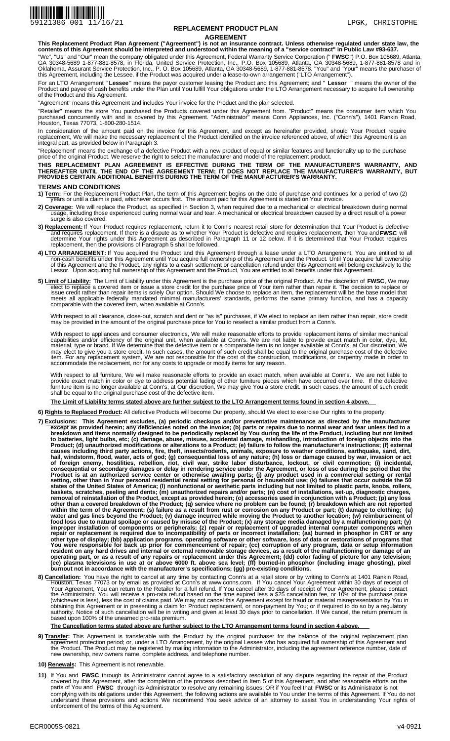

## **REPLACEMENT PRODUCT PLAN AGREEMENT**

**This Replacement Product Plan Agreement ("Agreement") is not an insurance contract. Unless otherwise regulated under state law, the contents of this Agreement should be interpreted and understood within the meaning of a "service contract" in Public Law #93-637.** 

"We", "Us" and "Our" mean the company obligated under this Agreement, Federal Warranty Service Corporation (" **FWSC**") P.O. Box 105689, Atlanta,<br>GA 30348-5689 1-877-881-8578, in Florida, United Service Protection, Inc., P. Oklahoma, Assurant Service Protection, Inc., P. O. Box 105689, Atlanta, GA 30348-5689, 1-877-881-8578. "You" and "Your" means the purchaser of<br>this Agreement, including the Lessee, if the Product was acquired under a lease **FWSC** 

For an LTO Arrangement " **Lessee**" means the payor customer leasing the Product and this Agreement; and " **Lessor** " means the owner of the<br>Product and payee of cash benefits under the Plan until You fulfill Your obligatio of the Product and this Agreement.

"Agreement" means this Agreement and includes Your invoice for the Product and the plan selected.

"Retailer" means the store You purchased the Products covered under this Agreement from. "Product" means the consumer item which You purchased concurrently with and is covered by this Agreement. "Administrator" means Conn Appliances, Inc. ("Conn's"), 1401 Rankin Road, Houston, Texas 77073, 1-800-280-1514.

In consideration of the amount paid on the invoice for this Agreement, and except as hereinafter provided, should Your Product require replacement, We will make the necessary replacement of the Product identified on the invoice referenced above, of which this Agreement is an integral part, as provided below in Paragraph 3.

"Replacement" means the exchange of a defective Product with a new product of equal or similar features and functionality up to the purchase<br>price of the original Product. We reserve the right to select the manufacturer an

**THIS REPLACEMENT PLAN AGREEMENT IS EFFECTIVE DURING THE TERM OF THE MANUFACTURER'S WARRANTY, AND**  THEREAFTER UNTIL THE END OF THE AGREEMENT TERM; IT DOES NOT REPLACE THE MANUFACTURER'S WARRANTY, BUT<br>PROVIDES CERTAIN ADDITIONAL BENEFITS DURING THE TERM OF THE MANUFACTURER'S WARRANTY.

## **TERMS AND CONDITIONS**

1) Term: For the Replacement Product Plan, the term of this Agreement begins on the date of purchase and continues for a period of two (2) years or until a claim is paid, whichever occurs first. The amount paid for this Ag

- <mark>overage</mark>: We will replace the Product, as specified in Section 3, when required due to a mechanical or electrical breakdown during normal<br>usage, including those experienced during normal wear and tear. A mechanical or ele **2) Coverage:**
- e**placement:** If Your Product requires replacement, return it to Conn's nearest retail store for determination that Your Product is defective<br>and requires replacement. If there is a dispute as to whether Your Product is de replacement, then the provisions of Paragraph 5 shall be followed. **3) Replacement: FWSC**
- 4) LTO ARRANGEMENT: If You acquired the Product and this Agreement through a lease under a LTO Arrangement, You are entitled to all non-cash benefits under this Agreement until You acquire full ownership of this Agreement and the Product. Until You acquire full ownership<br>of this Agreement and the Product, any rights to a cash settlement or cancellation
- **mit of Liability:** The Limit of Liability under this Agreement is the purchase price of the original Product. At the discretion of **FWSC**, We may<br>elect to replace a covered item or issue a store credit for the purchase pr meets all applicable federally mandated minimal manufacturers' standards, performs the same primary function, and has a capacity comparable with the covered item, when available at Conn's. **5) Limit of Liability:** The Limit of Liability under this Agreement is the purchase price of the original Product. At the discretion of **FWSC**,

With respect to all clearance, close-out, scratch and dent or "as is" purchases, if We elect to replace an item rather than repair, store credit<br>may be provided in the amount of the original purchase price for You to resel

With respect to appliances and consumer electronics, We will make reasonable efforts to provide replacement items of similar mechanical<br>capabilities and/or efficiency of the original unit, when available at Conn's. We are may elect to give you a store credit. In such cases, the amount of such credit shall be equal to the original purchase cost of the defective<br>item. For any replacement system, We are not responsible for the cost of the cons

With respect to all furniture, We will make reasonable efforts to provide an exact match, when available at Conn's. We are not liable to<br>provide exact match in color or dye to address potential fading of other furniture pi furniture item is no longer available at Conn's, at Our discretion, We may give You a store credit. In such cases, the amount of such credit shall be equal to the original purchase cost of the defective item.

**The Limit of Liability terms stated above are further subject to the LTO Arrangement terms found in section 4 above.** 

- All defective Products will become Our property, should We elect to exercise Our rights to the property. **6) Rights to Replaced Product:**
- <u>cclusions</u>: This Agreement <u>exclude</u>s, (a) periodic checkups and/or preventative maintenance as directed by the manufacturer<br>except as provided herein; any deficiencies noted on the invoice; (b) parts or repairs due to n breakdown and items normally designed to be periodically replaced by You during the life of the Product, including but not limited<br>to batteries, light bulbs, etc; (c) damage, abuse, misuse, accidental damage, mishandling, causes including third party actions, fire, theft, insects/rodents, animals, exposure to weather conditions, earthquake, sand, dirt,<br>hail, windstorm, flood, water, acts of god; (g) consequential loss of any nature; (h) los consequential or secondary damages or delay in rendering service under the Agreement, or loss of use during the period that the<br>Product is at an authorized service center or otherwise awaiting parts; (j) any product used i states of the United States of America; (I) nonfunctional or aesthetic parts including but not limited to plastic parts, knobs, rollers,<br>baskets, scratches, peeling and dents; (m) unauthorized repairs and/or parts; (n) cos other than a covered breakdown of the Product; (q) service where no problem can be found; (r) breakdown which are not reported<br>within the term of the Agreement; (s) failure as a result from rust or corrosion on any Product food loss due to natural spoilage or caused by misuse of the Product; (x) any storage media damaged by a malfunctioning part; (y)<br>improper installation of components or peripherals; (z) repair or replacement of upgraded in other type of display; (bb) application programs, operating software or other software, loss of data or restorations of programs that<br>You were responsible for back up prior for commencement of repair; (cc) corruption of an operating part, or as a result of any repairs or replacement under this Agreement; (dd) color fading of picture for any television;<br>(ee) plasma televisions in use at or above 6000 ft. above sea level; (ff) burned-in phosph **7) Exclusions:**
- You have the right to cancel at any time by contacting Conn's at a retail store or by writing to Conn's at 1401 Rankin Road, Houston, Texas 77073 or by email as provided at Conn's at www.conns.com. If You cancel Your Agreement within 30 days of receipt of Your Agreement, You can return to the Retailer for a full refund. If You cancel after 30 days of receipt of Your Agreement, please contact<br>the Administrator. You will receive a pro-rata refund based on the time expired les obtaining this Agreement or in presenting a claim for Product replacement, or non-payment by You; or if required to do so by a regulatory<br>authority. Notice of such cancellation will be in writing and given at least 30 days **8) Cancellation:**

#### **The Cancellation terms stated above are further subject to the LTO Arrangement terms found in section 4 above.**

- **ansfer:** This Agreement is transferable with the Product by the original purchaser for the balance of the original replacement plan<br>agreement protection period; or, under a LTO Arrangement, by the original Lessee who has new ownership, new owners name, complete address, and telephone number. **9) Transfer:**
- **10) Renewals:** This Agreement is not renewable.
- 11) If You and FWSC through its Administrator cannot agree to a satisfactory resolution of any dispute regarding the repair of the Product<br>covered by this Agreement, after the completion of the process described in Item 5 parts of You and **FWSC** through its Administrator to resolve any remaining issues, OR if You feel that **FWSC** or its Administrator is not complying with its obligations under this Agreement, the following actions are available to You under the terms of this Agreement. If You do not understand these provisions and actions We recommend You seek advice of an attorney to assist You in understanding Your rights of enforcement of the terms of this Agreement. **FWSC**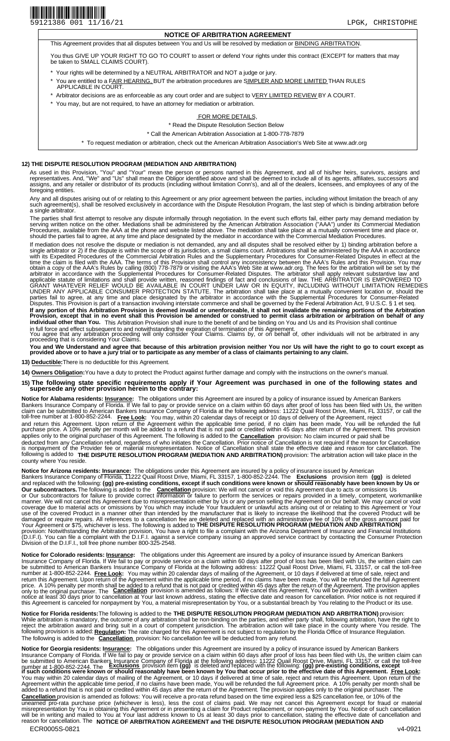# **NOTICE OF ARBITRATION AGREEMENT**

This Agreement provides that all disputes between You and Us will be resolved by mediation or BINDING ARBITRATION.

You thus GIVE UP YOUR RIGHT TO GO TO COURT to assert or defend Your rights under this contract (EXCEPT for matters that may be taken to SMALL CLAIMS COURT).

- Your rights will be determined by a NEUTRAL ARBITRATOR and NOT a judge or jury.
- \* You are entitled to a FAIR HEARING, BUT the arbitration procedures are SIMPLER AND MORE LIMITED THAN RULES APPLICABLE IN COURT.
- Arbitrator decisions are as enforceable as any court order and are subject to VERY LIMITED REVIEW BY A COURT.
- You may, but are not required, to have an attorney for mediation or arbitration.

## FOR MORE DETAILS,

\* Read the Dispute Resolution Section Below

\* Call the American Arbitration Association at 1-800-778-7879

\* To request mediation or arbitration, check out the American Arbitration Association's Web Site at www.adr.org

### **12) THE DISPUTE RESOLUTION PROGRAM (MEDIATION AND ARBITRATION)**

As used in this Provision, "You" and "Your" mean the person or persons named in this Agreement, and all of his/her heirs, survivors, assigns and<br>representatives. And, "We" and "Us" shall mean the Obligor identified above a foregoing entities.

Any and all disputes arising out of or relating to this Agreement or any prior agreement between the parties, including without limitation the breach of any such agreement(s), shall be resolved exclusively in accordance with the Dispute Resolution Program, the last step of which is binding arbitration before a single arbitrator.

The parties shall first attempt to resolve any dispute informally through negotiation. In the event such efforts fail, either party may demand mediation by serving written notice on the other. Mediations shall be administered by the American Arbitration Association ("AAA") under its Commercial Mediation<br>Procedures, available from the AAA at the phone and website listed above. should the parties fail to agree, at any time and place designated by the mediator in accordance with the Commercial Mediation Procedures.

If mediation does not resolve the dispute or mediation is not demanded, any and all disputes shall be resolved either by 1) binding arbitration before a<br>single arbitrator or 2) if the dispute is within the scope of its jur with its Expedited Procedures of the Commercial Arbitration Rules and the Supplementary Procedures for Consumer-Related Disputes in effect at the<br>time the claim is filed with the AAA. The terms of this Provision shall cont arbitrator in accordance with the Supplemental Procedures for Consumer-Related Disputes. The arbitrator shall apply relevant substantive law and<br>applicable statute of limitations and shall provide written, reasoned finding UNDER ANY APPLICABLE CONSUMER PROTECTION STATUTE. The arbitration shall take place at a mutually convenient location or, should the<br>parties fail to agree, at any time and place designated by the arbitrator in accordance wi If any portion of this Arbitration Provision is deemed invalid or unenforceable, it shall not invalidate the remaining portions of the Arbitration<br>Provision, except that in no event shall this Provision be amended or const **individual other than You.** This Arbitration Provision shall inure to the benefit of and be binding on You and Us and its Provision shall continue in full force and effect subsequent to and notwithstanding the expiration of termination of this Agreement.

You agree that any arbitration proceeding will only consider Your Claims. Claims by, or on behalf of, other individuals will not be arbitrated in any<br>proceeding that is considering Your Claims.

**You and We Understand and agree that because of this arbitration provision neither You nor Us will have the right to go to court except as**  <sup>i</sup> You and We Understand and agree that because of this arbitration provision neither You nor Us will have the right to go to court except as<br>provided above or to have a jury trial or to participate as any member of a cla

**13) Deductible:** There is no deductible for this Agreement.

14) Owners Obligation: You have a duty to protect the Product against further damage and comply with the instructions on the owner's manual.

**15) The following state specific requirements apply if Your Agreement was purchased in one of the following states and supersede any other provision herein to the contrary:** 

**Notice for Alabama residents: Insurance:** The obligations under this Agreement are insured by a policy of insurance issued by American Bankers Bankers Insurance Company of Florida. If We fail to pay or provide service on a claim within 60 days after proof of loss has been filed with Us, the written<br>claim can be submitted to American Bankers Insurance Company of F and return this Agreement. Upon return of the Agreement within the applicable time period, if no claim has been made, You will be refunded the full<br>purchase price. A 10% penalty per month will be added to a refund that is applies only to the original purchaser of this Agreement. The following is added to the **Cancellation** provision: No claim incurred or paid shall be deducted from any Cancellation refund, regardless of who initiates the Cancellation. Prior notice of Cancellation is not required if the reason for Cancellation<br>is nonpayment of the Provider fee or material misrepresentati following is added to **THE DISPUTE RESOLUTION PROGRAM (MEDIATION AND ARBITRATION)** provision: The arbitration action will take place in the county where You reside.

**Notice for Arizona residents: <u>Insurance</u>:** The obligations under this Agreement are insured by a policy of insurance issued by American Bankers Insurance Company of Florida, 11222 Quail Roost Drive, Miami, FL 33157, 1-800-852-2244. The **Exclusions (gg) pre-existing conditions, except if such conditions were known or should reasonably have been known by Us or**  provision: We will not cancel or void this Agreement due to acts or omissions Us or Our subcontractors for failure to provide correct information or failure to perform the services or repairs provided in a timely, competent, workmanlike manner. We will not cancel this Agreement due to misrepresentation either by Us or any person selling the Agreement on Our behalf. We may cancel or void<br>coverage due to material acts or omissions by You which may include Y damaged or require repairs. All references to a cancellation fee are deleted and replaced with an administrative fee of 10% of the gross amount paid for<br>Your Agreement or \$75, whichever is less. The following is added to provision: Notwithstanding the Arbitration provision, You have a right to file a complaint with the Arizona Department of Insurance and Financial Institutions<br>(D.I.F.I). You can file a complaint with the D.I.F.I. against a Division of the D.I.F.I., toll free phone number 800-325-2548. provision item **(gg)** is deleted and replaced with the following: **Our subcontractors.** The following is added to the **Cancellation** 

**Notice for Colorado residents: I<u>nsurance</u>:** The obligations under this Agreement are insured by a policy of insurance issued by American Bankers Insurance Company of Florida. If We fail to pay or provide service on a claim within 60 days after proof of loss has been filed with Us, the written claim can be submitted to American Bankers Insurance Company of Florida at the following address: 11222 Quail Roost Drive, Miami, FL 33157, or call the toll-free<br>number at 1-800-852-2244. <mark>Free Look</mark>: You may within 20 calendar da **Cancellation** provision is amended as follows: If We cancel this Agreement, You will be provided with a written notice at least 30 days prior to cancellation at Your last known address, stating the effective date and reason for cancellation. Prior notice is not required if this Agreement is canceled for nonpayment by You, a material misrepresentation by You, or a substantial breach by You relating to the Product or its use. **Free Look:** You may within 20 calendar days of mailing of the Agreement, or 10 days if delivered at time of sale, reject and return this Agreement. Upon return of the Agreement within the applicable time period, if no claims have been made, You will be refunded the full Agreement price. A 10% penalty per month shall be added to a refund that is not paid or credited within 45 days after the return of the Agreement. The provision applies<br>only to the original purchaser. The Cancellation provision

**Notice for Florida residents:**The following is added to the **THE DISPUTE RESOLUTION PROGRAM (MEDIATION AND ARBITRATION)** provision: While arbitration is mandatory, the outcome of any arbitration shall be non-binding on the parties, and either party shall, following arbitration, have the right to<br>reject the arbitration award and bring suit in a court of following provision is added: **Regulation:** The rate charged for this Agreement is not subject to regulation by the Florida Office of Insurance Regulation. The following is added to the **Cancellation** provision: No cancellation fee will be deducted from any refund.

**Notice for Georgia residents: I<u>nsurance</u>:** The obligations under this Agreement are insured by a policy of insurance issued by American Bankers ECR0005S-0821 v4-0921 Insurance Company of Florida. If We fail to pay or provide service on a claim within 60 days after proof of loss has been filed with Us, the written claim can<br>be submitted to American Bankers Insurance Company of Florida a number at 1-800-852-2244. The **Cancellation** provision is amended as follows: You will receive a pro-rata refund based on the time expired less a \$25 cancellation fee, or 10% of the unearned pro-rata purchase price (whichever is less), less the cost of claims paid. We may not cancel this Agreement except for fraud or material<br>misrepresentation by You in obtaining this Agreement or in presenting a clai reason for cancellation. The **NOTICE OF ARBITRATION AGREEMENT and THE DISPUTE RESOLUTION PROGRAM (MEDIATION AND Exclusions** provision item **if such conditions were known or should reasonably have been known by You that occur prior to the effective date of this Agreement. Free Look:**  You may within 20 calendar days of mailing of the Agreement, or 10 days if delivered at time of sale, reject and return this Agreement. Upon return of the<br>Agreement within the applicable time period, if no claims have been **(gg)** is deleted and replaced with the following: **(gg) pre-existing conditions, except**